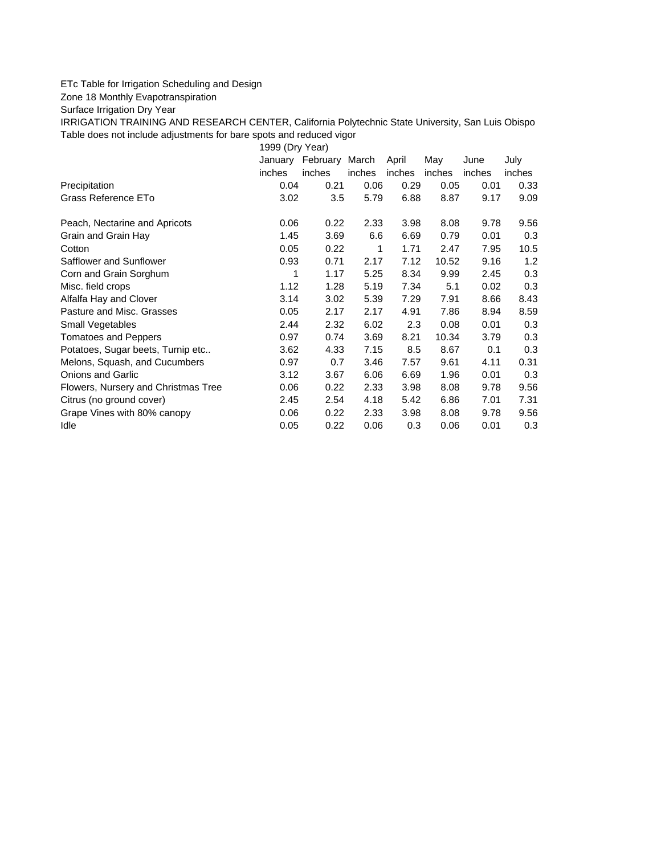## ETc Table for Irrigation Scheduling and Design

Zone 18 Monthly Evapotranspiration

Surface Irrigation Dry Year

IRRIGATION TRAINING AND RESEARCH CENTER, California Polytechnic State University, San Luis Obispo Table does not include adjustments for bare spots and reduced vigor

1999 (Dry Year)

|                                     | January | February March |        | April  | May    | June   | July   |
|-------------------------------------|---------|----------------|--------|--------|--------|--------|--------|
|                                     | inches  | inches         | inches | inches | inches | inches | inches |
| Precipitation                       | 0.04    | 0.21           | 0.06   | 0.29   | 0.05   | 0.01   | 0.33   |
| Grass Reference ETo                 | 3.02    | 3.5            | 5.79   | 6.88   | 8.87   | 9.17   | 9.09   |
| Peach, Nectarine and Apricots       | 0.06    | 0.22           | 2.33   | 3.98   | 8.08   | 9.78   | 9.56   |
| Grain and Grain Hay                 | 1.45    | 3.69           | 6.6    | 6.69   | 0.79   | 0.01   | 0.3    |
| Cotton                              | 0.05    | 0.22           | 1      | 1.71   | 2.47   | 7.95   | 10.5   |
| Safflower and Sunflower             | 0.93    | 0.71           | 2.17   | 7.12   | 10.52  | 9.16   | 1.2    |
| Corn and Grain Sorghum              | 1       | 1.17           | 5.25   | 8.34   | 9.99   | 2.45   | 0.3    |
| Misc. field crops                   | 1.12    | 1.28           | 5.19   | 7.34   | 5.1    | 0.02   | 0.3    |
| Alfalfa Hay and Clover              | 3.14    | 3.02           | 5.39   | 7.29   | 7.91   | 8.66   | 8.43   |
| Pasture and Misc. Grasses           | 0.05    | 2.17           | 2.17   | 4.91   | 7.86   | 8.94   | 8.59   |
| Small Vegetables                    | 2.44    | 2.32           | 6.02   | 2.3    | 0.08   | 0.01   | 0.3    |
| <b>Tomatoes and Peppers</b>         | 0.97    | 0.74           | 3.69   | 8.21   | 10.34  | 3.79   | 0.3    |
| Potatoes, Sugar beets, Turnip etc   | 3.62    | 4.33           | 7.15   | 8.5    | 8.67   | 0.1    | 0.3    |
| Melons, Squash, and Cucumbers       | 0.97    | 0.7            | 3.46   | 7.57   | 9.61   | 4.11   | 0.31   |
| <b>Onions and Garlic</b>            | 3.12    | 3.67           | 6.06   | 6.69   | 1.96   | 0.01   | 0.3    |
| Flowers, Nursery and Christmas Tree | 0.06    | 0.22           | 2.33   | 3.98   | 8.08   | 9.78   | 9.56   |
| Citrus (no ground cover)            | 2.45    | 2.54           | 4.18   | 5.42   | 6.86   | 7.01   | 7.31   |
| Grape Vines with 80% canopy         | 0.06    | 0.22           | 2.33   | 3.98   | 8.08   | 9.78   | 9.56   |
| Idle                                | 0.05    | 0.22           | 0.06   | 0.3    | 0.06   | 0.01   | 0.3    |